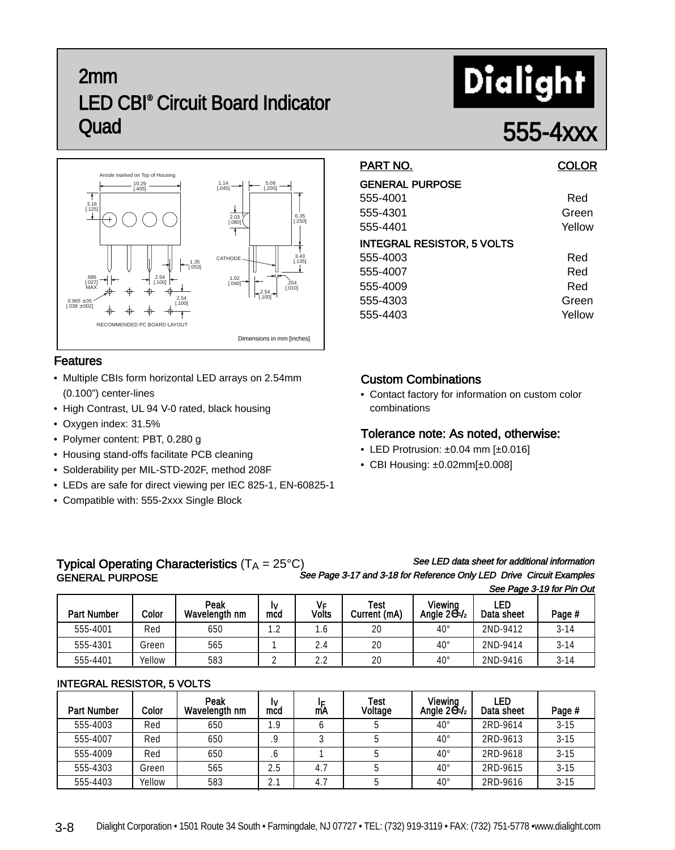## 2mm LED CBI ® Circuit Board Indicator 2mm<br>LED CBI® Circuit Board Indicator<br>Quad 555-4xxx



## Features

- Multiple CBIs form horizontal LED arrays on 2.54mm (0.100") center-lines
- High Contrast, UL 94 V-0 rated, black housing
- Oxygen index: 31.5%
- Polymer content: PBT, 0.280 g
- Housing stand-offs facilitate PCB cleaning
- Solderability per MIL-STD-202F, method 208F
- LEDs are safe for direct viewing per IEC 825-1, EN-60825-1
- Compatible with: 555-2xxx Single Block

| PART NO.                          | <b>COLOR</b> |
|-----------------------------------|--------------|
| <b>GENERAL PURPOSE</b>            |              |
| 555-4001                          | Red          |
| 555-4301                          | Green        |
| 555-4401                          | Yellow       |
| <b>INTEGRAL RESISTOR, 5 VOLTS</b> |              |
| 555-4003                          | Red          |
| 555-4007                          | Red          |
| 555-4009                          | Red          |
| 555-4303                          | Green        |

## Custom Combinations

• Contact factory for information on custom color combinations

555-4403 Yellow

## Tolerance note: As noted, otherwise:

- LED Protrusion:  $\pm 0.04$  mm [ $\pm 0.016$ ]
- CBI Housing: ±0.02mm[±0.008]

## Typical Operating Characteristics  $(T_A = 25^{\circ}C)$  See LED data sheet for additional information<br>GENERAL PURPOSE See Page 3-17 and 3-18 for Reference Only LED Drive Circuit Examples

See Page 3-17 and 3-18 for Reference Only LED Drive Circuit Examples

See Page 3-19 for Pin Out

| <b>Part Number</b> | Color  | Peak<br>Wavelength nm | I۷<br>mcd | VF<br><b>Volts</b> | <b>Test</b><br>Current (mA) | Viewina<br>Angle $26\frac{1}{2}$ | LED<br>Data sheet | Page #   |
|--------------------|--------|-----------------------|-----------|--------------------|-----------------------------|----------------------------------|-------------------|----------|
| 555-4001           | Red    | 650                   | 1.2       | .6                 | 20                          | $40^{\circ}$                     | 2ND-9412          | $3 - 14$ |
| 555-4301           | Green  | 565                   |           | 2.4                | 20                          | 40°                              | 2ND-9414          | $3 - 14$ |
| 555-4401           | Yellow | 583                   |           | 2.2                | 20                          | $40^{\circ}$                     | 2ND-9416          | $3 - 14$ |

### INTEGRAL RESISTOR, 5 VOLTS

| <b>Part Number</b> | Color  | Peak<br>Wavelength nm | I٧<br>mcd | l۵<br>mA | <b>Test</b><br>Voltage | Viewina<br>Angle $2\Theta/2$ | LED<br>Data sheet | Page #   |
|--------------------|--------|-----------------------|-----------|----------|------------------------|------------------------------|-------------------|----------|
| 555-4003           | Red    | 650                   | 1.9       |          |                        | $40^{\circ}$                 | 2RD-9614          | $3 - 15$ |
| 555-4007           | Red    | 650                   | .9        |          |                        | $40^{\circ}$                 | 2RD-9613          | $3 - 15$ |
| 555-4009           | Red    | 650                   | .6        |          |                        | $40^{\circ}$                 | 2RD-9618          | $3 - 15$ |
| 555-4303           | Green  | 565                   | 2.5       | 4.7      |                        | $40^{\circ}$                 | 2RD-9615          | $3 - 15$ |
| 555-4403           | Yellow | 583                   | 2.1       | 4.7      |                        | $40^{\circ}$                 | 2RD-9616          | $3 - 15$ |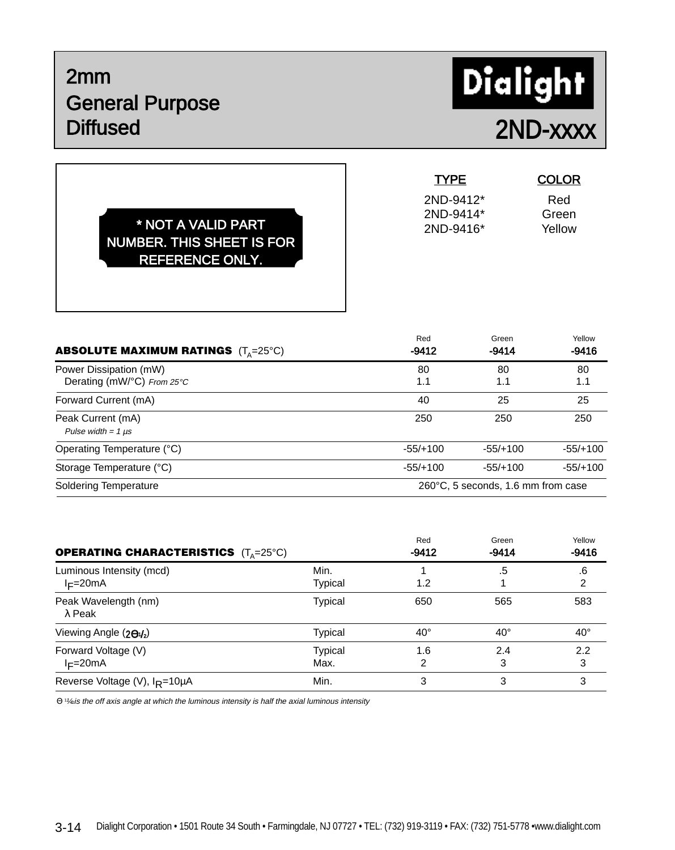## 2mm General Purpose Diffused 2ND-xxxx

# Dialight

## \* NOT A VALID PART NUMBER. THIS SHEET IS FOR REFERENCE ONLY.

TYPE COLOR 2ND-9412\* Red 2ND-9414\* Green 2ND-9416\* Yellow

|                                                                                                                 | Red        | Green                              | Yellow     |  |
|-----------------------------------------------------------------------------------------------------------------|------------|------------------------------------|------------|--|
| <b>ABSOLUTE MAXIMUM RATINGS</b> (T <sub>A</sub> =25°C)<br>Derating (mW/°C) From 25°C<br>Pulse width = $1 \mu s$ | $-9412$    | $-9414$                            | -9416      |  |
| Power Dissipation (mW)                                                                                          | 80         | 80                                 | 80         |  |
|                                                                                                                 | 1.1        | 1.1                                | 1.1        |  |
| Forward Current (mA)                                                                                            | 40         | 25                                 | 25         |  |
| Peak Current (mA)                                                                                               | 250        | 250                                | 250        |  |
|                                                                                                                 |            |                                    |            |  |
| Operating Temperature (°C)                                                                                      | $-55/+100$ | $-55/+100$                         | $-55/+100$ |  |
| Storage Temperature (°C)                                                                                        | $-55/+100$ | $-55/+100$                         | $-55/+100$ |  |
| <b>Soldering Temperature</b>                                                                                    |            | 260°C, 5 seconds, 1.6 mm from case |            |  |

| <b>OPERATING CHARACTERISTICS</b> (T <sub>a</sub> =25°C) |                        | Red<br>$-9412$ | Green<br>$-9414$ | Yellow<br>$-9416$ |
|---------------------------------------------------------|------------------------|----------------|------------------|-------------------|
| Luminous Intensity (mcd)<br>$I_F=20mA$                  | Min.<br><b>Typical</b> | 1.2            | .5               | .6<br>2           |
| Peak Wavelength (nm)<br>$\lambda$ Peak                  | <b>Typical</b>         | 650            | 565              | 583               |
| Viewing Angle (201/2)                                   | Typical                | $40^{\circ}$   | $40^{\circ}$     | $40^{\circ}$      |
| Forward Voltage (V)<br>$I_F=20mA$                       | Typical<br>Max.        | 1.6<br>2       | 2.4<br>3         | 2.2<br>3          |
| Reverse Voltage (V), I <sub>R</sub> =10µA               | Min.                   | 3              | 3                | 3                 |

Θ 1 ¼2is the off axis angle at which the luminous intensity is half the axial luminous intensity